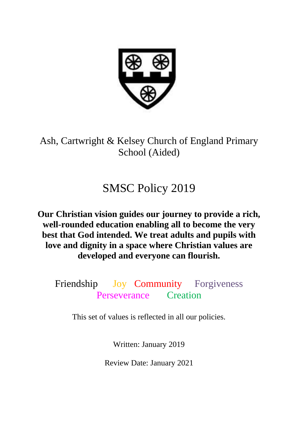

Ash, Cartwright & Kelsey Church of England Primary School (Aided)

# SMSC Policy 2019

**Our Christian vision guides our journey to provide a rich, well-rounded education enabling all to become the very best that God intended. We treat adults and pupils with love and dignity in a space where Christian values are developed and everyone can flourish.**

Friendship Joy Community Forgiveness Perseverance Creation

This set of values is reflected in all our policies.

Written: January 2019

Review Date: January 2021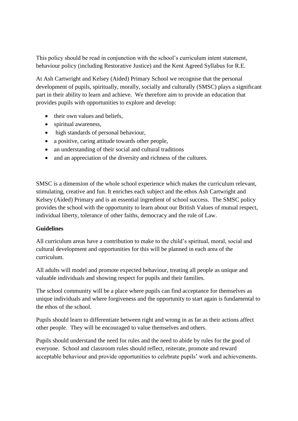This policy should be read in conjunction with the school's curriculum intent statement, behaviour policy (including Restorative Justice) and the Kent Agreed Syllabus for R.E.

At Ash Cartwright and Kelsey (Aided) Primary School we recognise that the personal development of pupils, spiritually, morally, socially and culturally (SMSC) plays a significant part in their ability to learn and achieve. We therefore aim to provide an education that provides pupils with opportunities to explore and develop:

- their own values and beliefs,
- spiritual awareness,
- high standards of personal behaviour,
- a positive, caring attitude towards other people.
- an understanding of their social and cultural traditions
- and an appreciation of the diversity and richness of the cultures.

SMSC is a dimension of the whole school experience which makes the curriculum relevant, stimulating, creative and fun. It enriches each subject and the ethos Ash Cartwright and Kelsey (Aided) Primary and is an essential ingredient of school success. The SMSC policy provides the school with the opportunity to learn about our British Values of mutual respect, individual liberty, tolerance of other faiths, democracy and the rule of Law.

# **Guidelines**

All curriculum areas have a contribution to make to the child's spiritual, moral, social and cultural development and opportunities for this will be planned in each area of the curriculum.

All adults will model and promote expected behaviour, treating all people as unique and valuable individuals and showing respect for pupils and their families.

The school community will be a place where pupils can find acceptance for themselves as unique individuals and where forgiveness and the opportunity to start again is fundamental to the ethos of the school.

Pupils should learn to differentiate between right and wrong in as far as their actions affect other people. They will be encouraged to value themselves and others.

Pupils should understand the need for rules and the need to abide by rules for the good of everyone. School and classroom rules should reflect, reiterate, promote and reward acceptable behaviour and provide opportunities to celebrate pupils' work and achievements.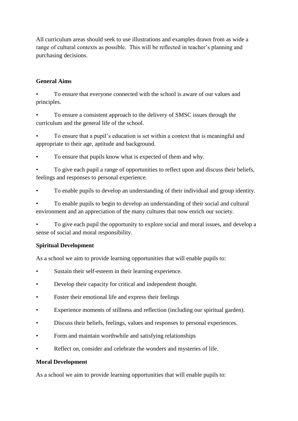All curriculum areas should seek to use illustrations and examples drawn from as wide a range of cultural contexts as possible. This will be reflected in teacher's planning and purchasing decisions.

# **General Aims**

• To ensure that everyone connected with the school is aware of our values and principles.

• To ensure a consistent approach to the delivery of SMSC issues through the curriculum and the general life of the school.

• To ensure that a pupil's education is set within a context that is meaningful and appropriate to their age, aptitude and background.

To ensure that pupils know what is expected of them and why.

• To give each pupil a range of opportunities to reflect upon and discuss their beliefs, feelings and responses to personal experience.

• To enable pupils to develop an understanding of their individual and group identity.

• To enable pupils to begin to develop an understanding of their social and cultural environment and an appreciation of the many cultures that now enrich our society.

• To give each pupil the opportunity to explore social and moral issues, and develop a sense of social and moral responsibility.

# **Spiritual Development**

As a school we aim to provide learning opportunities that will enable pupils to:

- Sustain their self-esteem in their learning experience.
- Develop their capacity for critical and independent thought.
- Foster their emotional life and express their feelings
- Experience moments of stillness and reflection (including our spiritual garden).
- Discuss their beliefs, feelings, values and responses to personal experiences.
- Form and maintain worthwhile and satisfying relationships
- Reflect on, consider and celebrate the wonders and mysteries of life.

# **Moral Development**

As a school we aim to provide learning opportunities that will enable pupils to: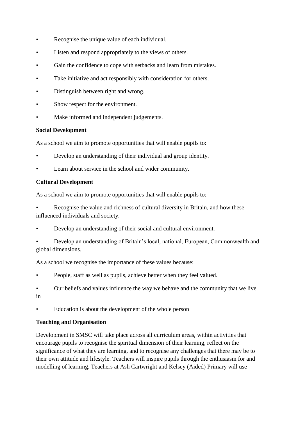- Recognise the unique value of each individual.
- Listen and respond appropriately to the views of others.
- Gain the confidence to cope with setbacks and learn from mistakes.
- Take initiative and act responsibly with consideration for others.
- Distinguish between right and wrong.
- Show respect for the environment.
- Make informed and independent judgements.

#### **Social Development**

As a school we aim to promote opportunities that will enable pupils to:

- Develop an understanding of their individual and group identity.
- Learn about service in the school and wider community.

# **Cultural Development**

As a school we aim to promote opportunities that will enable pupils to:

- Recognise the value and richness of cultural diversity in Britain, and how these influenced individuals and society.
- Develop an understanding of their social and cultural environment.
- Develop an understanding of Britain's local, national, European, Commonwealth and global dimensions.

As a school we recognise the importance of these values because:

- People, staff as well as pupils, achieve better when they feel valued.
- Our beliefs and values influence the way we behave and the community that we live in
- Education is about the development of the whole person

# **Teaching and Organisation**

Development in SMSC will take place across all curriculum areas, within activities that encourage pupils to recognise the spiritual dimension of their learning, reflect on the significance of what they are learning, and to recognise any challenges that there may be to their own attitude and lifestyle. Teachers will inspire pupils through the enthusiasm for and modelling of learning. Teachers at Ash Cartwright and Kelsey (Aided) Primary will use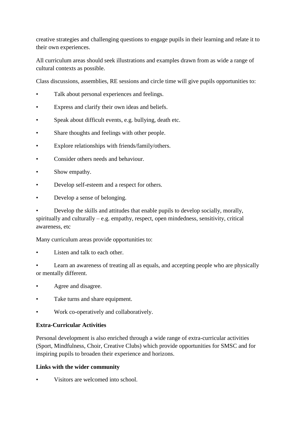creative strategies and challenging questions to engage pupils in their learning and relate it to their own experiences.

All curriculum areas should seek illustrations and examples drawn from as wide a range of cultural contexts as possible.

Class discussions, assemblies, RE sessions and circle time will give pupils opportunities to:

- Talk about personal experiences and feelings.
- Express and clarify their own ideas and beliefs.
- Speak about difficult events, e.g. bullying, death etc.
- Share thoughts and feelings with other people.
- Explore relationships with friends/family/others.
- Consider others needs and behaviour.
- Show empathy.
- Develop self-esteem and a respect for others.
- Develop a sense of belonging.

• Develop the skills and attitudes that enable pupils to develop socially, morally, spiritually and culturally – e.g. empathy, respect, open mindedness, sensitivity, critical awareness, etc

Many curriculum areas provide opportunities to:

Listen and talk to each other.

Learn an awareness of treating all as equals, and accepting people who are physically or mentally different.

- Agree and disagree.
- Take turns and share equipment.
- Work co-operatively and collaboratively.

# **Extra-Curricular Activities**

Personal development is also enriched through a wide range of extra-curricular activities (Sport, Mindfulness, Choir, Creative Clubs) which provide opportunities for SMSC and for inspiring pupils to broaden their experience and horizons.

# **Links with the wider community**

Visitors are welcomed into school.